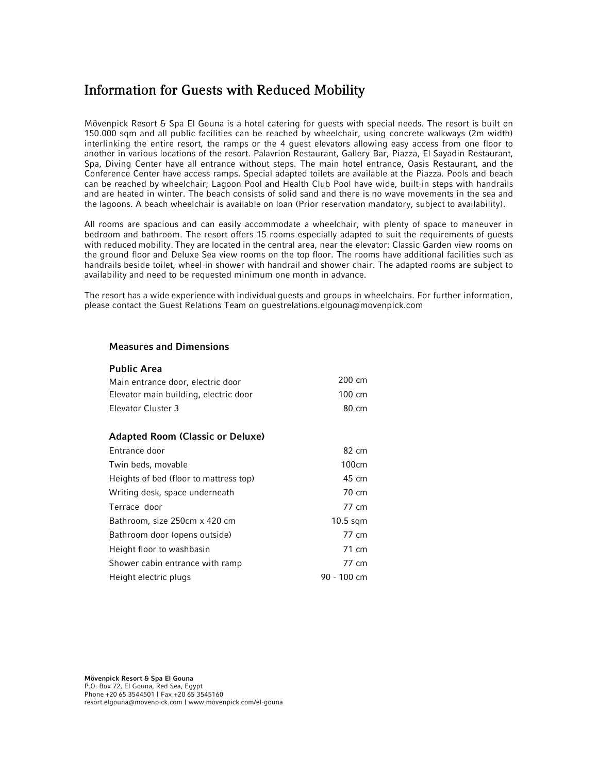# **Information for Guests with Reduced Mobility**

Mövenpick Resort & Spa El Gouna is a hotel catering for guests with special needs. The resort is built on 150.000 sqm and all public facilities can be reached by wheelchair, using concrete walkways (2m width) interlinking the entire resort, the ramps or the 4 guest elevators allowing easy access from one floor to another in various locations of the resort. Palavrion Restaurant, Gallery Bar, Piazza, El Sayadin Restaurant, Spa, Diving Center have all entrance without steps. The main hotel entrance, Oasis Restaurant, and the Conference Center have access ramps. Special adapted toilets are available at the Piazza. Pools and beach can be reached by wheelchair; Lagoon Pool and Health Club Pool have wide, built-in steps with handrails and are heated in winter. The beach consists of solid sand and there is no wave movements in the sea and the lagoons. A beach wheelchair is available on loan (Prior reservation mandatory, subject to availability).

All rooms are spacious and can easily accommodate a wheelchair, with plenty of space to maneuver in bedroom and bathroom. The resort offers 15 rooms especially adapted to suit the requirements of guests with reduced mobility. They are located in the central area, near the elevator: Classic Garden view rooms on the ground floor and Deluxe Sea view rooms on the top floor. The rooms have additional facilities such as handrails beside toilet, wheel-in shower with handrail and shower chair. The adapted rooms are subject to availability and need to be requested minimum one month in advance.

The resort has a wide experience with individual guests and groups in wheelchairs. For further information, please contact the Guest Relations Team on guestrelations.elgouna@movenpick.com

#### **Measures and Dimensions**

**Public Area**

| I UUIIL AI CA                           |             |
|-----------------------------------------|-------------|
| Main entrance door, electric door       | 200 cm      |
| Elevator main building, electric door   | 100 cm      |
| Elevator Cluster 3                      | 80 cm       |
|                                         |             |
| <b>Adapted Room (Classic or Deluxe)</b> |             |
| Entrance door                           | 82 cm       |
| Twin beds, movable                      | 100cm       |
| Heights of bed (floor to mattress top)  | 45 cm       |
| Writing desk, space underneath          | 70 cm       |
| Terrace door                            | 77 cm       |
| Bathroom, size 250cm x 420 cm           | $10.5$ sqm  |
| Bathroom door (opens outside)           | 77 cm       |
| Height floor to washbasin               | 71 cm       |
| Shower cabin entrance with ramp         | 77 cm       |
| Height electric plugs                   | 90 - 100 cm |
|                                         |             |